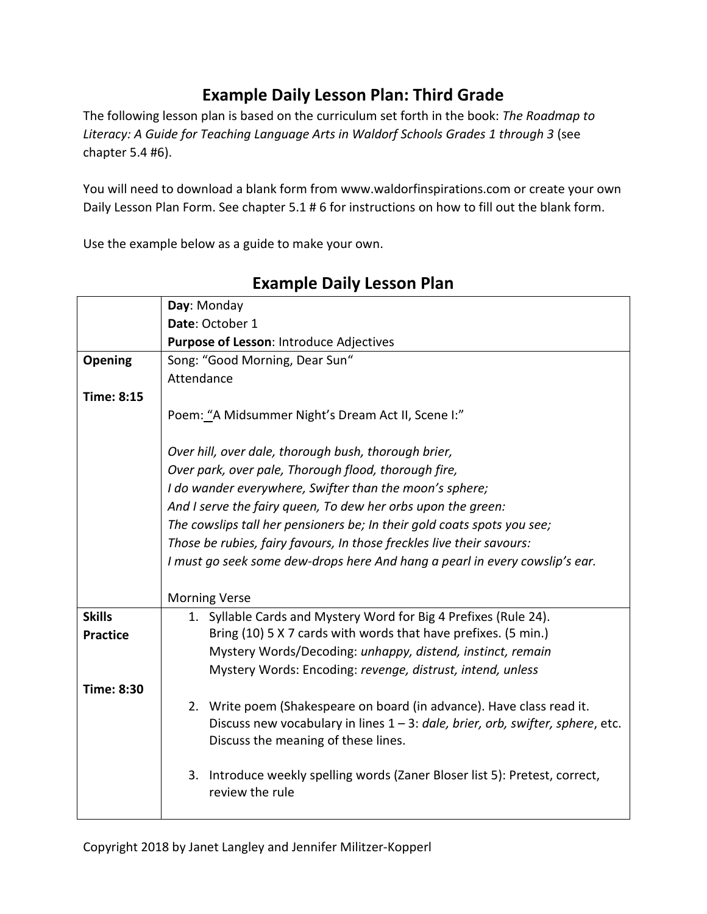## **Example Daily Lesson Plan: Third Grade**

The following lesson plan is based on the curriculum set forth in the book: *The Roadmap to*  Literacy: A Guide for Teaching Language Arts in Waldorf Schools Grades 1 through 3 (see chapter 5.4 #6).

You will need to download a blank form from www.waldorfinspirations.com or create your own Daily Lesson Plan Form. See chapter 5.1 # 6 for instructions on how to fill out the blank form.

Use the example below as a guide to make your own.

|                   | Day: Monday                                                                                                           |
|-------------------|-----------------------------------------------------------------------------------------------------------------------|
|                   | Date: October 1                                                                                                       |
|                   | Purpose of Lesson: Introduce Adjectives                                                                               |
| Opening           | Song: "Good Morning, Dear Sun"                                                                                        |
|                   | Attendance                                                                                                            |
| <b>Time: 8:15</b> |                                                                                                                       |
|                   | Poem: "A Midsummer Night's Dream Act II, Scene I:"                                                                    |
|                   | Over hill, over dale, thorough bush, thorough brier,                                                                  |
|                   | Over park, over pale, Thorough flood, thorough fire,                                                                  |
|                   | I do wander everywhere, Swifter than the moon's sphere;                                                               |
|                   | And I serve the fairy queen, To dew her orbs upon the green:                                                          |
|                   | The cowslips tall her pensioners be; In their gold coats spots you see;                                               |
|                   | Those be rubies, fairy favours, In those freckles live their savours:                                                 |
|                   | I must go seek some dew-drops here And hang a pearl in every cowslip's ear.                                           |
|                   |                                                                                                                       |
|                   | <b>Morning Verse</b>                                                                                                  |
| <b>Skills</b>     | 1. Syllable Cards and Mystery Word for Big 4 Prefixes (Rule 24).                                                      |
| <b>Practice</b>   | Bring (10) 5 X 7 cards with words that have prefixes. (5 min.)                                                        |
|                   | Mystery Words/Decoding: unhappy, distend, instinct, remain                                                            |
|                   | Mystery Words: Encoding: revenge, distrust, intend, unless                                                            |
| <b>Time: 8:30</b> |                                                                                                                       |
|                   | 2. Write poem (Shakespeare on board (in advance). Have class read it.                                                 |
|                   | Discuss new vocabulary in lines 1 - 3: dale, brier, orb, swifter, sphere, etc.<br>Discuss the meaning of these lines. |
|                   |                                                                                                                       |
|                   | 3. Introduce weekly spelling words (Zaner Bloser list 5): Pretest, correct,<br>review the rule                        |

## **Example Daily Lesson Plan**